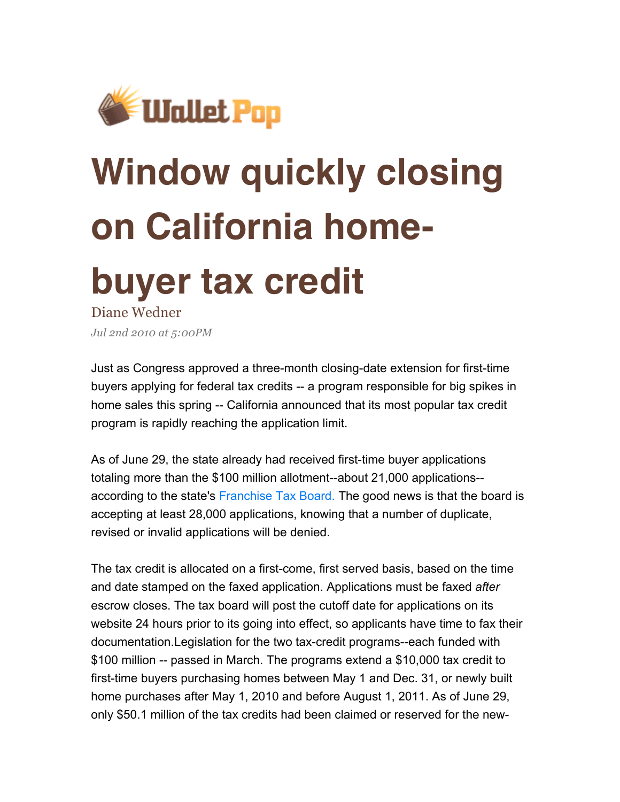

## **Window quickly closing on California home-**

## **buyer tax credit**

Diane Wedner *Jul 2nd 2010 at 5:00PM*

Just as Congress approved a three-month closing-date extension for first-time buyers applying for federal tax credits -- a program responsible for big spikes in home sales this spring -- California announced that its most popular tax credit program is rapidly reaching the application limit.

As of June 29, the state already had received first-time buyer applications totaling more than the \$100 million allotment--about 21,000 applications- according to the state's Franchise Tax Board. The good news is that the board is accepting at least 28,000 applications, knowing that a number of duplicate, revised or invalid applications will be denied.

The tax credit is allocated on a first-come, first served basis, based on the time and date stamped on the faxed application. Applications must be faxed *after*  escrow closes. The tax board will post the cutoff date for applications on its website 24 hours prior to its going into effect, so applicants have time to fax their documentation.Legislation for the two tax-credit programs--each funded with \$100 million -- passed in March. The programs extend a \$10,000 tax credit to first-time buyers purchasing homes between May 1 and Dec. 31, or newly built home purchases after May 1, 2010 and before August 1, 2011. As of June 29, only \$50.1 million of the tax credits had been claimed or reserved for the new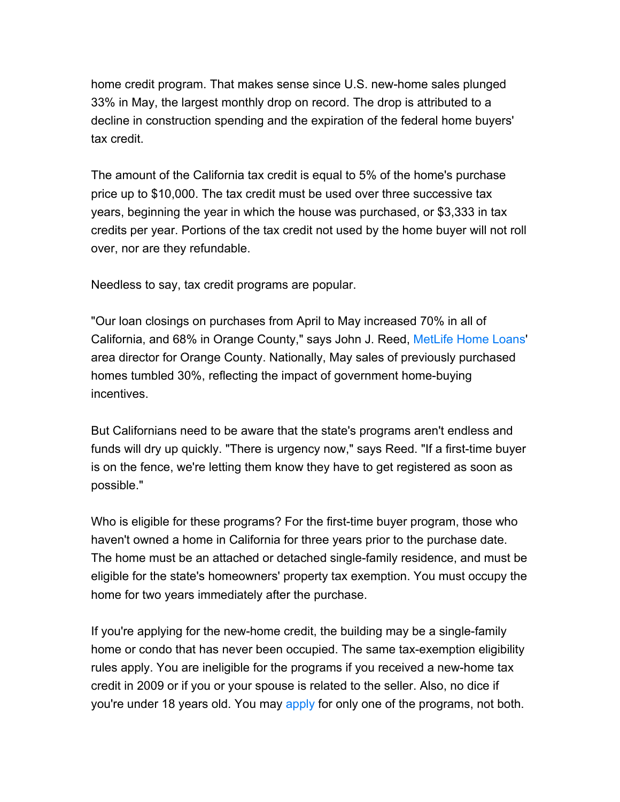home credit program. That makes sense since U.S. new-home sales plunged 33% in May, the largest monthly drop on record. The drop is attributed to a decline in construction spending and the expiration of the federal home buyers' tax credit.

The amount of the California tax credit is equal to 5% of the home's purchase price up to \$10,000. The tax credit must be used over three successive tax years, beginning the year in which the house was purchased, or \$3,333 in tax credits per year. Portions of the tax credit not used by the home buyer will not roll over, nor are they refundable.

Needless to say, tax credit programs are popular.

"Our loan closings on purchases from April to May increased 70% in all of California, and 68% in Orange County," says John J. Reed, MetLife Home Loans' area director for Orange County. Nationally, May sales of previously purchased homes tumbled 30%, reflecting the impact of government home-buying incentives.

But Californians need to be aware that the state's programs aren't endless and funds will dry up quickly. "There is urgency now," says Reed. "If a first-time buyer is on the fence, we're letting them know they have to get registered as soon as possible."

Who is eligible for these programs? For the first-time buyer program, those who haven't owned a home in California for three years prior to the purchase date. The home must be an attached or detached single-family residence, and must be eligible for the state's homeowners' property tax exemption. You must occupy the home for two years immediately after the purchase.

If you're applying for the new-home credit, the building may be a single-family home or condo that has never been occupied. The same tax-exemption eligibility rules apply. You are ineligible for the programs if you received a new-home tax credit in 2009 or if you or your spouse is related to the seller. Also, no dice if you're under 18 years old. You may apply for only one of the programs, not both.